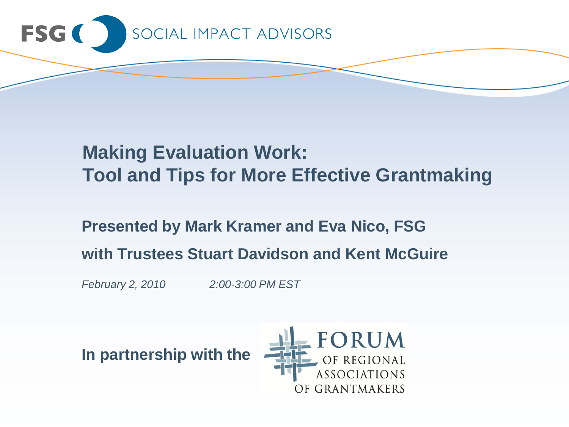

# **Making Evaluation Work: Tool and Tips for More Effective Grantmaking**

# **Presented by Mark Kramer and Eva Nico, FSG with Trustees Stuart Davidson and Kent McGuire**

*February 2, 2010 2:00-3:00 PM EST*

**In partnership with the**

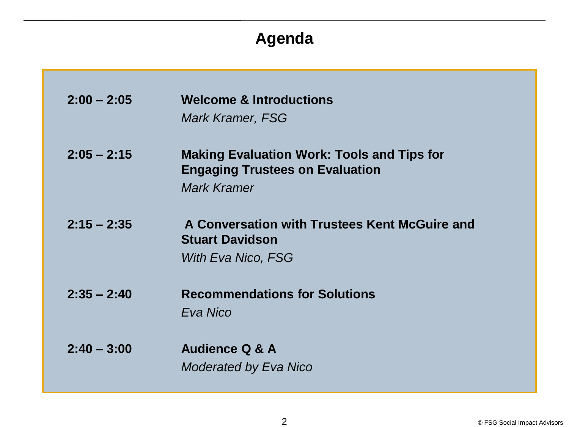## **Agenda**

| $2:00 - 2:05$ | <b>Welcome &amp; Introductions</b><br><b>Mark Kramer, FSG</b>                                                     |
|---------------|-------------------------------------------------------------------------------------------------------------------|
| $2:05 - 2:15$ | <b>Making Evaluation Work: Tools and Tips for</b><br><b>Engaging Trustees on Evaluation</b><br><b>Mark Kramer</b> |
| $2:15 - 2:35$ | A Conversation with Trustees Kent McGuire and<br><b>Stuart Davidson</b><br>With Eva Nico, FSG                     |
| $2:35 - 2:40$ | <b>Recommendations for Solutions</b><br>Eva Nico                                                                  |
| $2:40 - 3:00$ | <b>Audience Q &amp; A</b><br><b>Moderated by Eva Nico</b>                                                         |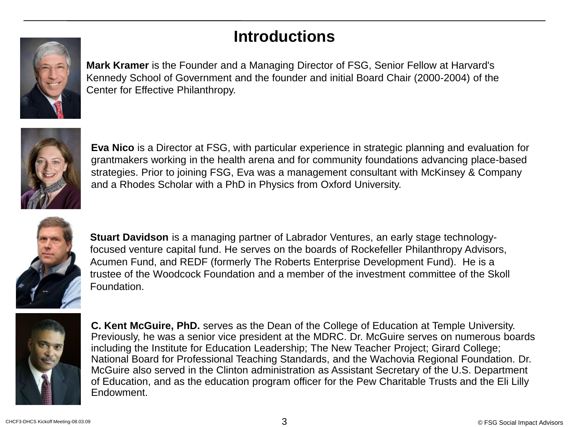## **Introductions**



**Mark Kramer** is the Founder and a Managing Director of FSG, Senior Fellow at Harvard's Kennedy School of Government and the founder and initial Board Chair (2000-2004) of the Center for Effective Philanthropy.



**Eva Nico** is a Director at FSG, with particular experience in strategic planning and evaluation for grantmakers working in the health arena and for community foundations advancing place-based strategies. Prior to joining FSG, Eva was a management consultant with McKinsey & Company and a Rhodes Scholar with a PhD in Physics from Oxford University.



**Stuart Davidson** is a managing partner of Labrador Ventures, an early stage technologyfocused venture capital fund. He serves on the boards of Rockefeller Philanthropy Advisors, Acumen Fund, and REDF (formerly The Roberts Enterprise Development Fund). He is a trustee of the Woodcock Foundation and a member of the investment committee of the Skoll Foundation.



**C. Kent McGuire, PhD.** serves as the Dean of the College of Education at Temple University. Previously, he was a senior vice president at the MDRC. Dr. McGuire serves on numerous boards including the Institute for Education Leadership; The New Teacher Project; Girard College; National Board for Professional Teaching Standards, and the Wachovia Regional Foundation. Dr. McGuire also served in the Clinton administration as Assistant Secretary of the U.S. Department of Education, and as the education program officer for the Pew Charitable Trusts and the Eli Lilly Endowment.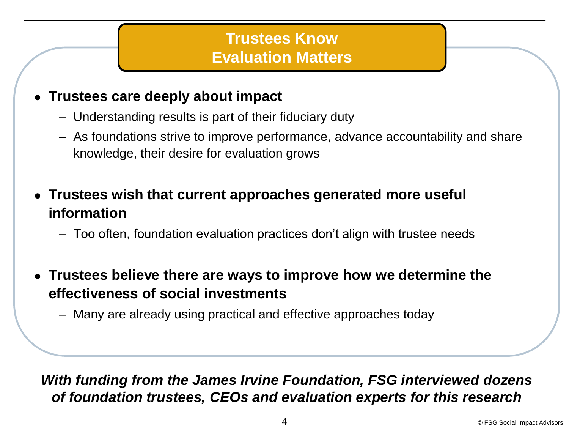## **Trustees Know Evaluation Matters**

#### **Trustees care deeply about impact**

- Understanding results is part of their fiduciary duty
- As foundations strive to improve performance, advance accountability and share knowledge, their desire for evaluation grows
- **Trustees wish that current approaches generated more useful information**
	- Too often, foundation evaluation practices don't align with trustee needs
- **Trustees believe there are ways to improve how we determine the effectiveness of social investments**
	- Many are already using practical and effective approaches today

#### *With funding from the James Irvine Foundation, FSG interviewed dozens of foundation trustees, CEOs and evaluation experts for this research*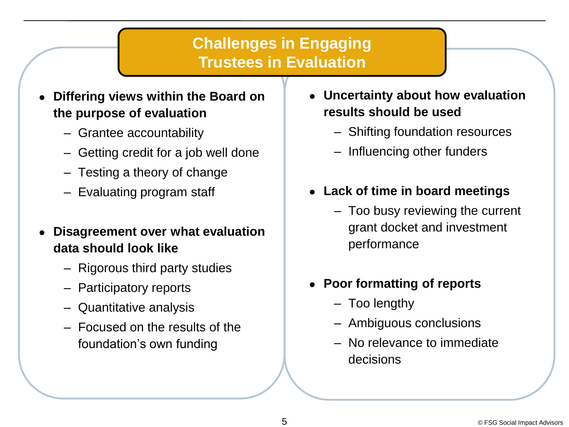### **Challenges in Engaging Trustees in Evaluation**

- **Differing views within the Board on the purpose of evaluation**
	- Grantee accountability
	- Getting credit for a job well done
	- Testing a theory of change
	- Evaluating program staff
- **Disagreement over what evaluation data should look like**
	- Rigorous third party studies
	- Participatory reports
	- Quantitative analysis
	- Focused on the results of the foundation's own funding
- **Uncertainty about how evaluation results should be used**
	- Shifting foundation resources
	- Influencing other funders
- **Lack of time in board meetings**
	- Too busy reviewing the current grant docket and investment performance
- **Poor formatting of reports**
	- Too lengthy
	- Ambiguous conclusions
	- No relevance to immediate decisions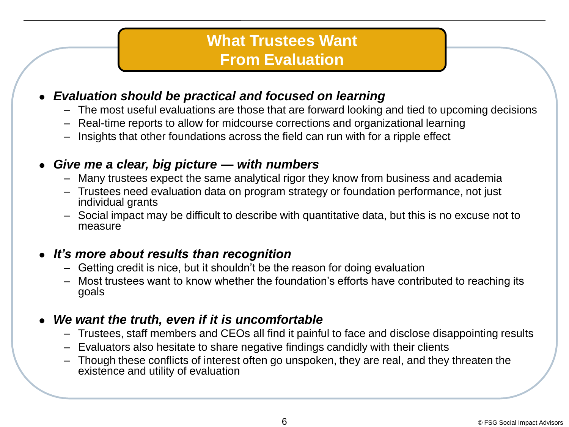### **What Trustees Want From Evaluation**

#### *Evaluation should be practical and focused on learning*

- The most useful evaluations are those that are forward looking and tied to upcoming decisions
- Real-time reports to allow for midcourse corrections and organizational learning
- Insights that other foundations across the field can run with for a ripple effect

#### *Give me a clear, big picture — with numbers*

- Many trustees expect the same analytical rigor they know from business and academia
- Trustees need evaluation data on program strategy or foundation performance, not just individual grants
- Social impact may be difficult to describe with quantitative data, but this is no excuse not to measure

#### *It's more about results than recognition*

- Getting credit is nice, but it shouldn't be the reason for doing evaluation
- Most trustees want to know whether the foundation's efforts have contributed to reaching its goals

#### *We want the truth, even if it is uncomfortable*

- Trustees, staff members and CEOs all find it painful to face and disclose disappointing results
- Evaluators also hesitate to share negative findings candidly with their clients
- Though these conflicts of interest often go unspoken, they are real, and they threaten the existence and utility of evaluation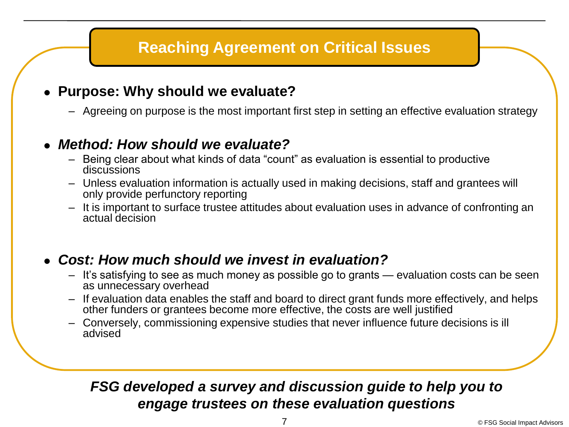## **Reaching Agreement on Critical Issues**

#### **Purpose: Why should we evaluate?**

– Agreeing on purpose is the most important first step in setting an effective evaluation strategy

#### *Method: How should we evaluate?*

- Being clear about what kinds of data "count" as evaluation is essential to productive discussions
- Unless evaluation information is actually used in making decisions, staff and grantees will only provide perfunctory reporting
- It is important to surface trustee attitudes about evaluation uses in advance of confronting an actual decision

#### *Cost: How much should we invest in evaluation?*

- It's satisfying to see as much money as possible go to grants evaluation costs can be seen as unnecessary overhead
- If evaluation data enables the staff and board to direct grant funds more effectively, and helps other funders or grantees become more effective, the costs are well justified
- Conversely, commissioning expensive studies that never influence future decisions is ill advised

### *FSG developed a survey and discussion guide to help you to engage trustees on these evaluation questions*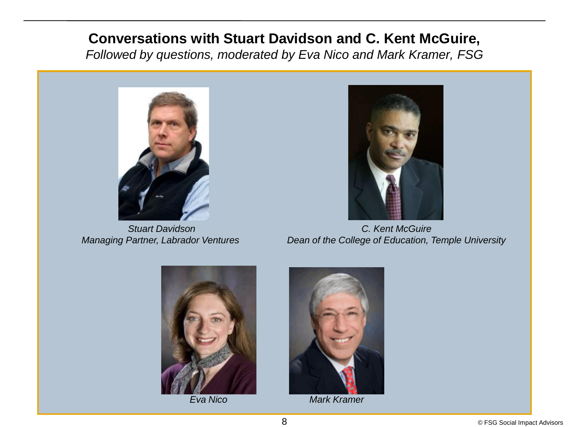### **Conversations with Stuart Davidson and C. Kent McGuire,**

*Followed by questions, moderated by Eva Nico and Mark Kramer, FSG*



*Stuart Davidson Managing Partner, Labrador Ventures* 



*C. Kent McGuire Dean of the College of Education, Temple University*





*Eva Nico Mark Kramer*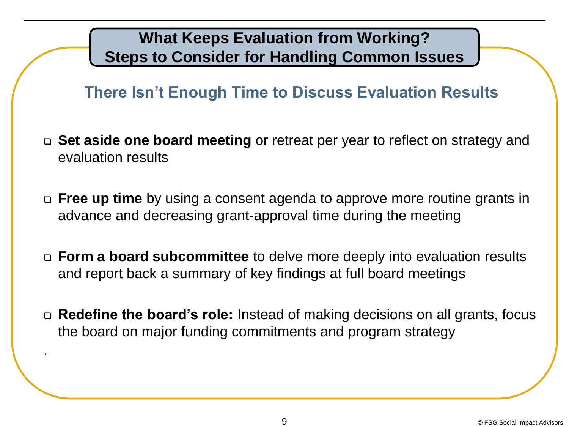## **What Keeps Evaluation from Working? Steps to Consider for Handling Common Issues**

## **There Isn't Enough Time to Discuss Evaluation Results**

- **Set aside one board meeting** or retreat per year to reflect on strategy and evaluation results
- **Free up time** by using a consent agenda to approve more routine grants in advance and decreasing grant-approval time during the meeting
- **Form a board subcommittee** to delve more deeply into evaluation results and report back a summary of key findings at full board meetings
- **Redefine the board's role:** Instead of making decisions on all grants, focus the board on major funding commitments and program strategy

.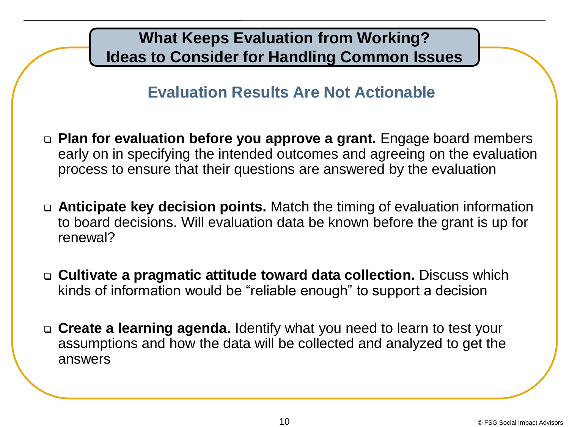## **What Keeps Evaluation from Working? Ideas to Consider for Handling Common Issues**

## **Evaluation Results Are Not Actionable**

- **Plan for evaluation before you approve a grant.** Engage board members early on in specifying the intended outcomes and agreeing on the evaluation process to ensure that their questions are answered by the evaluation
- **Anticipate key decision points.** Match the timing of evaluation information to board decisions. Will evaluation data be known before the grant is up for renewal?
- **Cultivate a pragmatic attitude toward data collection.** Discuss which kinds of information would be "reliable enough" to support a decision
- **Create a learning agenda.** Identify what you need to learn to test your assumptions and how the data will be collected and analyzed to get the answers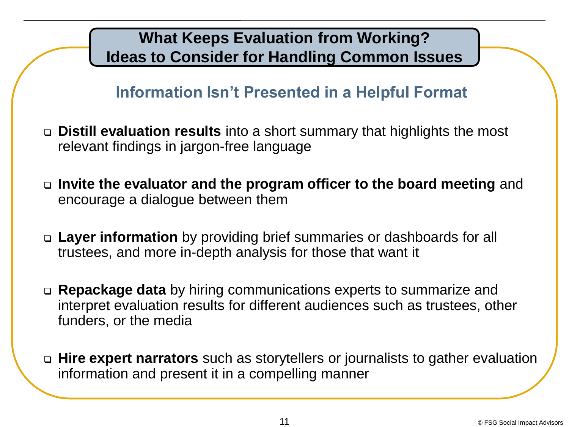## **What Keeps Evaluation from Working? Ideas to Consider for Handling Common Issues**

## **Information Isn't Presented in a Helpful Format**

- **Distill evaluation results** into a short summary that highlights the most relevant findings in jargon-free language
- **Invite the evaluator and the program officer to the board meeting** and encourage a dialogue between them
- **Layer information** by providing brief summaries or dashboards for all trustees, and more in-depth analysis for those that want it
- **Repackage data** by hiring communications experts to summarize and interpret evaluation results for different audiences such as trustees, other funders, or the media
- **Hire expert narrators** such as storytellers or journalists to gather evaluation information and present it in a compelling manner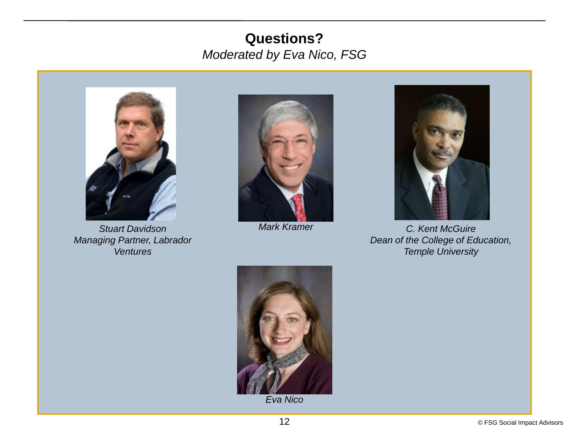### **Questions?** *Moderated by Eva Nico, FSG*



*Stuart Davidson Managing Partner, Labrador Ventures* 



*Mark Kramer*



*C. Kent McGuire Dean of the College of Education, Temple University*



*Eva Nico*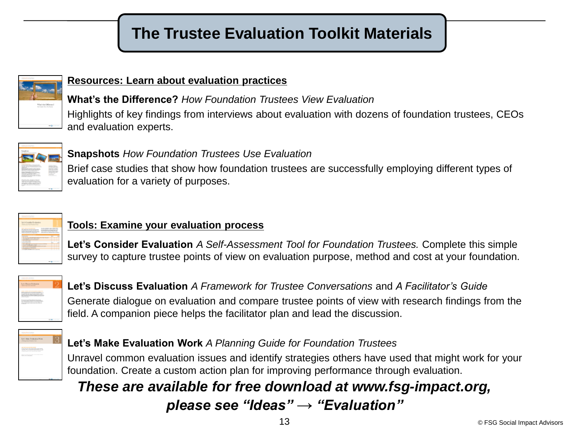## **The Trustee Evaluation Toolkit Materials**



#### **Resources: Learn about evaluation practices**

**What's the Difference?** *How Foundation Trustees View Evaluation*  Highlights of key findings from interviews about evaluation with dozens of foundation trustees, CEOs and evaluation experts.



#### **Snapshots** *How Foundation Trustees Use Evaluation*

Brief case studies that show how foundation trustees are successfully employing different types of evaluation for a variety of purposes.



#### **Tools: Examine your evaluation process**

**Let's Consider Evaluation** *A Self-Assessment Tool for Foundation Trustees.* Complete this simple survey to capture trustee points of view on evaluation purpose, method and cost at your foundation.



#### **Let's Discuss Evaluation** *A Framework for Trustee Conversations* and *A Facilitator's Guide*  Generate dialogue on evaluation and compare trustee points of view with research findings from the field. A companion piece helps the facilitator plan and lead the discussion.



#### **Let's Make Evaluation Work** *A Planning Guide for Foundation Trustees*

Unravel common evaluation issues and identify strategies others have used that might work for your foundation. Create a custom action plan for improving performance through evaluation.

### *These are available for free download at www.fsg-impact.org,*

### *please see "Ideas" → "Evaluation"*